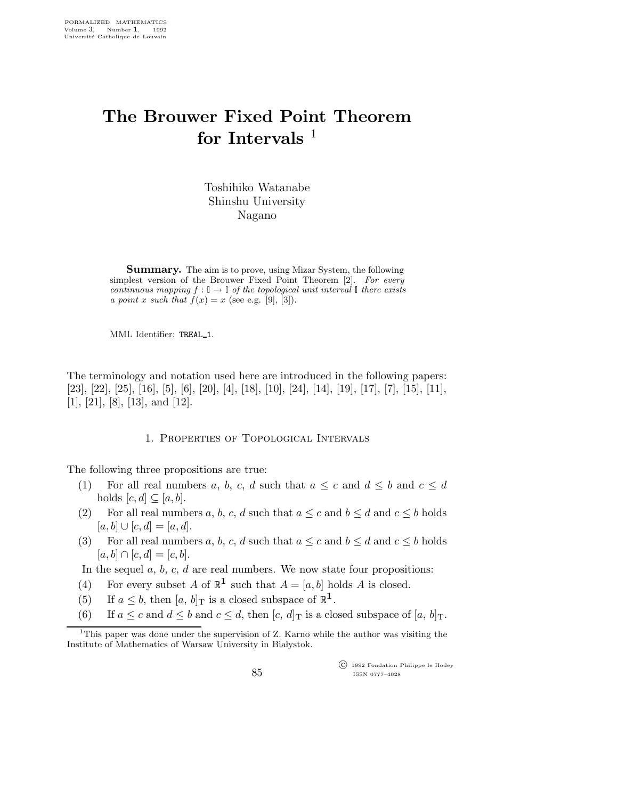# The Brouwer Fixed Point Theorem for Intervals  $1$

Toshihiko Watanabe Shinshu University Nagano

Summary. The aim is to prove, using Mizar System, the following simplest version of the Brouwer Fixed Point Theorem [2]. For every continuous mapping  $f : \mathbb{I} \to \mathbb{I}$  of the topological unit interval  $\mathbb{I}$  there exists a point x such that  $f(x) = x$  (see e.g. [9], [3]).

MML Identifier: TREAL 1.

The terminology and notation used here are introduced in the following papers: [23], [22], [25], [16], [5], [6], [20], [4], [18], [10], [24], [14], [19], [17], [7], [15], [11], [1], [21], [8], [13], and [12].

1. Properties of Topological Intervals

The following three propositions are true:

- (1) For all real numbers a, b, c, d such that  $a \leq c$  and  $d \leq b$  and  $c \leq d$ holds  $[c,d] \subseteq [a,b]$ .
- (2) For all real numbers a, b, c, d such that  $a \leq c$  and  $b \leq d$  and  $c \leq b$  holds  $[a,b] \cup [c,d] = [a,d].$
- (3) For all real numbers a, b, c, d such that  $a \leq c$  and  $b \leq d$  and  $c \leq b$  holds  $[a, b] \cap [c, d] = [c, b].$

In the sequel  $a, b, c, d$  are real numbers. We now state four propositions:

- (4) For every subset A of  $\mathbb{R}^1$  such that  $A = [a, b]$  holds A is closed.
- (5) If  $a \leq b$ , then  $[a, b]$ <sub>T</sub> is a closed subspace of  $\mathbb{R}^1$ .
- (6) If  $a \leq c$  and  $d \leq b$  and  $c \leq d$ , then  $[c, d]_T$  is a closed subspace of  $[a, b]_T$ .

 c 1992 Fondation Philippe le Hodey ISSN 0777–4028

<sup>&</sup>lt;sup>1</sup>This paper was done under the supervision of Z. Karno while the author was visiting the Institute of Mathematics of Warsaw University in Białystok.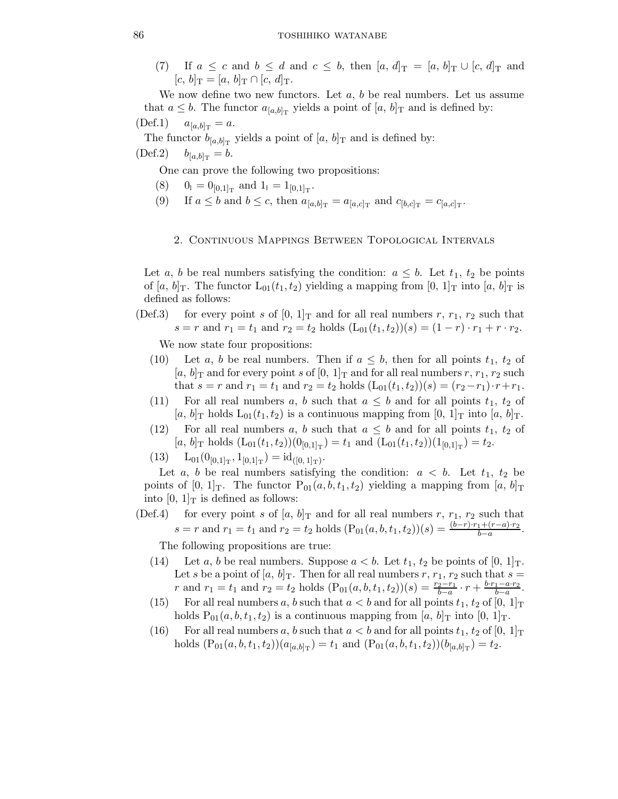(7) If  $a \leq c$  and  $b \leq d$  and  $c \leq b$ , then  $[a, d]_T = [a, b]_T \cup [c, d]_T$  and  $[c, b]_{\text{T}} = [a, b]_{\text{T}} \cap [c, d]_{\text{T}}.$ 

We now define two new functors. Let  $a, b$  be real numbers. Let us assume that  $a \leq b$ . The functor  $a_{[a,b]_T}$  yields a point of  $[a, b]_T$  and is defined by:

$$
(\text{Def.1})
$$
  $a_{[a,b]_{\text{T}}} = a.$ 

The functor  $b_{[a,b]_T}$  yields a point of  $[a, b]_T$  and is defined by:  $(\text{Def.2}) \t b_{[a,b]_T} = b.$ 

One can prove the following two propositions:

- (8)  $0_{\mathbb{I}} = 0_{[0,1]_{\mathrm{T}}}$  and  $1_{\mathbb{I}} = 1_{[0,1]_{\mathrm{T}}}$ .
- (9) If  $a \leq b$  and  $b \leq c$ , then  $a_{[a,b]_T} = a_{[a,c]_T}$  and  $c_{[b,c]_T} = c_{[a,c]_T}$ .

## 2. Continuous Mappings Between Topological Intervals

Let a, b be real numbers satisfying the condition:  $a \leq b$ . Let  $t_1, t_2$  be points of [a, b]<sub>T</sub>. The functor  $L_{01}(t_1,t_2)$  yielding a mapping from [0, 1]<sub>T</sub> into [a, b]<sub>T</sub> is defined as follows:

(Def.3) for every point s of  $[0, 1]_T$  and for all real numbers r,  $r_1, r_2$  such that  $s = r$  and  $r_1 = t_1$  and  $r_2 = t_2$  holds  $(L_{01}(t_1, t_2))(s) = (1 - r) \cdot r_1 + r \cdot r_2$ .

We now state four propositions:

- (10) Let a, b be real numbers. Then if  $a \leq b$ , then for all points  $t_1$ ,  $t_2$  of  $[a, b]_T$  and for every point s of  $[0, 1]_T$  and for all real numbers r,  $r_1, r_2$  such that  $s = r$  and  $r_1 = t_1$  and  $r_2 = t_2$  holds  $(L_{01}(t_1, t_2))(s) = (r_2 - r_1) \cdot r + r_1$ .
- (11) For all real numbers a, b such that  $a \leq b$  and for all points  $t_1$ ,  $t_2$  of  $[a, b]$ <sub>T</sub> holds  $L_{01}(t_1, t_2)$  is a continuous mapping from  $[0, 1]$ <sub>T</sub> into  $[a, b]$ <sub>T</sub>.
- (12) For all real numbers a, b such that  $a \leq b$  and for all points  $t_1, t_2$  of  $[a, b]$ <sub>T</sub> holds  $(L_{01}(t_1, t_2))(0_{[0,1]_T}) = t_1$  and  $(L_{01}(t_1, t_2))(1_{[0,1]_T}) = t_2$ .
- $(13)$   $L_{01}(0_{[0,1]_T}, 1_{[0,1]_T}) = id_{([0,1]_T)}.$

Let a, b be real numbers satisfying the condition:  $a < b$ . Let  $t_1, t_2$  be points of  $[0, 1]_T$ . The functor  $P_{01}(a, b, t_1, t_2)$  yielding a mapping from  $[a, b]_T$ into  $[0, 1]_T$  is defined as follows:

(Def.4) for every point s of  $[a, b]_T$  and for all real numbers r,  $r_1$ ,  $r_2$  such that  $s = r$  and  $r_1 = t_1$  and  $r_2 = t_2$  holds  $(P_{01}(a, b, t_1, t_2))(s) = \frac{(b-r)\cdot r_1 + (r-a)\cdot r_2}{b-a}.$ 

The following propositions are true:

- (14) Let a, b be real numbers. Suppose  $a < b$ . Let  $t_1, t_2$  be points of  $[0, 1]_T$ . Let s be a point of  $[a, b]_T$ . Then for all real numbers r,  $r_1, r_2$  such that  $s =$ r and  $r_1 = t_1$  and  $r_2 = t_2$  holds  $(P_{01}(a, b, t_1, t_2))(s) = \frac{r_2 - r_1}{b-a} \cdot r + \frac{b \cdot r_1 - a \cdot r_2}{b-a}$  $\frac{1-a\cdot r_2}{b-a}.$
- (15) For all real numbers a, b such that  $a < b$  and for all points  $t_1, t_2$  of  $[0, 1]_T$ holds  $P_{01}(a,b,t_1,t_2)$  is a continuous mapping from [a, b]<sub>T</sub> into [0, 1]<sub>T</sub>.
- (16) For all real numbers a, b such that  $a < b$  and for all points  $t_1, t_2$  of  $[0, 1]_T$ holds  $(P_{01}(a, b, t_1, t_2))(a_{[a, b]_T}) = t_1$  and  $(P_{01}(a, b, t_1, t_2))(b_{[a, b]_T}) = t_2$ .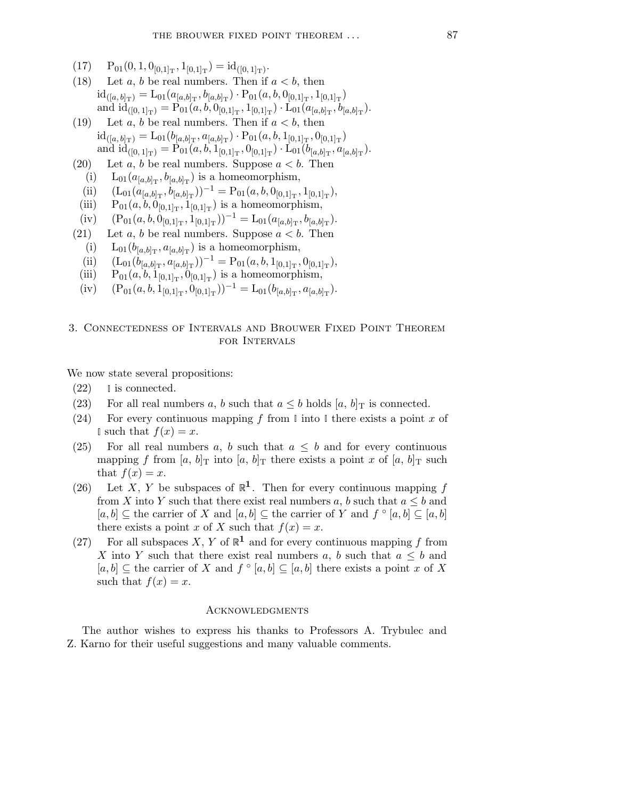- $(17)$   $P_{01}(0, 1, 0_{[0,1]_T}, 1_{[0,1]_T}) = id_{([0, 1]_T)}.$
- (18) Let a, b be real numbers. Then if  $a < b$ , then  $id_{([a, b]_T)} = L_{01}(a_{[a, b]_T}, b_{[a, b]_T}) \cdot P_{01}(a, b, 0_{[0, 1]_T}, 1_{[0, 1]_T})$ and  $id_{([0,1]_T)} = P_{01}(a, b, 0_{[0,1]_T}, 1_{[0,1]_T}) \cdot L_{01}(a_{[a,b]_T}, b_{[a,b]_T}).$
- (19) Let a, b be real numbers. Then if  $a < b$ , then  $\mathrm{id}_{([a, b]_{\mathrm{T}})} = \mathrm{L}_{01}(b_{[a, b]_{\mathrm{T}}}, a_{[a, b]_{\mathrm{T}}}) \cdot \mathrm{P}_{01}(a, b, 1_{[0, 1]_{\mathrm{T}}}, 0_{[0, 1]_{\mathrm{T}}})$ and  $id_{([0,1]_T)} = P_{01}(a, b, 1_{[0,1]_T}, 0_{[0,1]_T}) \cdot L_{01}(b_{[a,b]_T}, a_{[a,b]_T}).$
- (20) Let a, b be real numbers. Suppose  $a < b$ . Then
- (i)  $L_{01}(a_{[a,b]_T}, b_{[a,b]_T})$  is a homeomorphism,
- (ii)  $(L_{01}(a_{[a,b]_T}, b_{[a,b]_T}))^{-1} = P_{01}(a, b, 0_{[0,1]_T}, 1_{[0,1]_T}),$
- (iii)  $P_{01}(a, b, 0_{[0,1]_T}, 1_{[0,1]_T})$  is a homeomorphism,
- (iv)  $(P_{01}(a, b, 0_{[0,1]_T}, 1_{[0,1]_T}))^{-1} = L_{01}(a_{[a,b]_T}, b_{[a,b]_T}).$
- (21) Let a, b be real numbers. Suppose  $a < b$ . Then
	- (i)  $L_{01}(b_{[a,b]_T}, a_{[a,b]_T})$  is a homeomorphism,
- (ii)  $(L_{01}(b_{[a,b]_T}^-, a_{[a,b]_T}^+) )^{-1} = P_{01}(a, b, 1_{[0,1]_T}, 0_{[0,1]_T}),$
- (iii)  $P_{01}(a, b, 1_{[0,1]_T}, 0_{[0,1]_T})$  is a homeomorphism,
- (iv)  $(P_{01}(a, b, 1_{[0,1]_T}, 0_{[0,1]_T}))^{-1} = L_{01}(b_{[a,b]_T}, a_{[a,b]_T}).$

# 3. Connectedness of Intervals and Brouwer Fixed Point Theorem for Intervals

We now state several propositions:

- $(22)$  is connected.
- (23) For all real numbers a, b such that  $a \leq b$  holds  $[a, b]$ <sup>T</sup> is connected.
- (24) For every continuous mapping f from  $\mathbb I$  into  $\mathbb I$  there exists a point x of I such that  $f(x) = x$ .
- (25) For all real numbers a, b such that  $a \leq b$  and for every continuous mapping f from  $[a, b]_T$  into  $[a, b]_T$  there exists a point x of  $[a, b]_T$  such that  $f(x) = x$ .
- (26) Let X, Y be subspaces of  $\mathbb{R}^1$ . Then for every continuous mapping f from X into Y such that there exist real numbers a, b such that  $a \leq b$  and  $[a, b] \subseteq$  the carrier of X and  $[a, b] \subseteq$  the carrier of Y and  $f \circ [a, b] \subseteq [a, b]$ there exists a point x of X such that  $f(x) = x$ .
- (27) For all subspaces X, Y of  $\mathbb{R}^1$  and for every continuous mapping f from X into Y such that there exist real numbers a, b such that  $a \leq b$  and  $[a, b] \subseteq$  the carrier of X and  $f \circ [a, b] \subseteq [a, b]$  there exists a point x of X such that  $f(x) = x$ .

### Acknowledgments

The author wishes to express his thanks to Professors A. Trybulec and Z. Karno for their useful suggestions and many valuable comments.